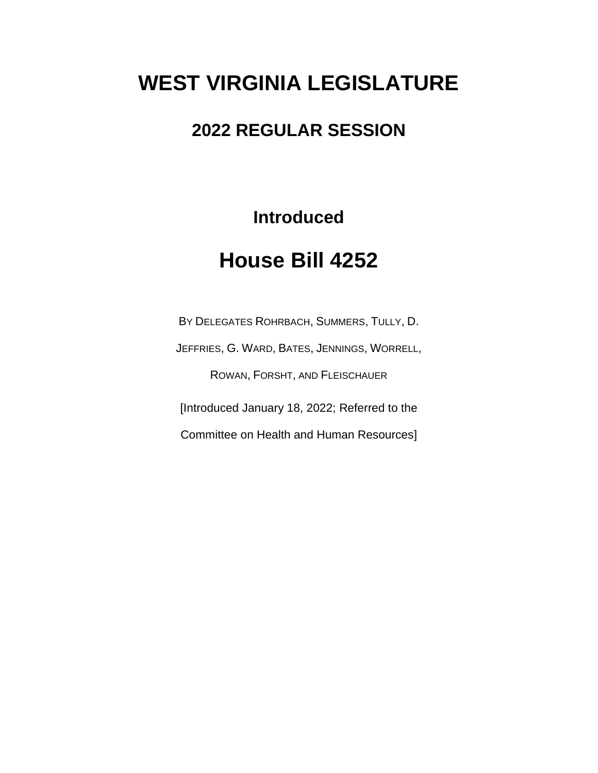# **WEST VIRGINIA LEGISLATURE**

### **2022 REGULAR SESSION**

**Introduced**

# **House Bill 4252**

BY DELEGATES ROHRBACH, SUMMERS, TULLY, D. JEFFRIES, G. WARD, BATES, JENNINGS, WORRELL, ROWAN, FORSHT, AND FLEISCHAUER [Introduced January 18, 2022; Referred to the Committee on Health and Human Resources]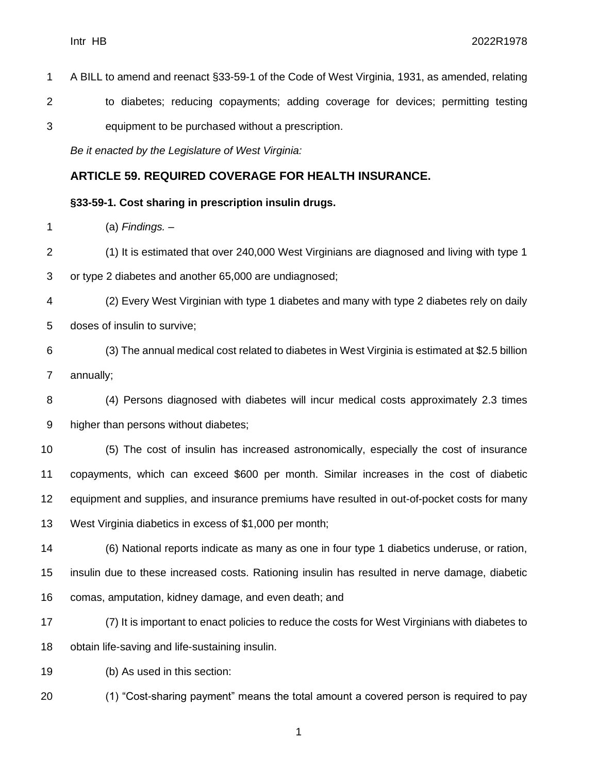- A BILL to amend and reenact §33-59-1 of the Code of West Virginia, 1931, as amended, relating to diabetes; reducing copayments; adding coverage for devices; permitting testing
- equipment to be purchased without a prescription.

*Be it enacted by the Legislature of West Virginia:*

#### **ARTICLE 59. REQUIRED COVERAGE FOR HEALTH INSURANCE.**

#### **§33-59-1. Cost sharing in prescription insulin drugs.**

(a) *Findings. –*

(1) It is estimated that over 240,000 West Virginians are diagnosed and living with type 1

or type 2 diabetes and another 65,000 are undiagnosed;

- (2) Every West Virginian with type 1 diabetes and many with type 2 diabetes rely on daily doses of insulin to survive;
- (3) The annual medical cost related to diabetes in West Virginia is estimated at \$2.5 billion annually;

 (4) Persons diagnosed with diabetes will incur medical costs approximately 2.3 times higher than persons without diabetes;

 (5) The cost of insulin has increased astronomically, especially the cost of insurance copayments, which can exceed \$600 per month. Similar increases in the cost of diabetic equipment and supplies, and insurance premiums have resulted in out-of-pocket costs for many West Virginia diabetics in excess of \$1,000 per month;

 (6) National reports indicate as many as one in four type 1 diabetics underuse, or ration, insulin due to these increased costs. Rationing insulin has resulted in nerve damage, diabetic comas, amputation, kidney damage, and even death; and

 (7) It is important to enact policies to reduce the costs for West Virginians with diabetes to obtain life-saving and life-sustaining insulin.

(b) As used in this section:

(1) "Cost-sharing payment" means the total amount a covered person is required to pay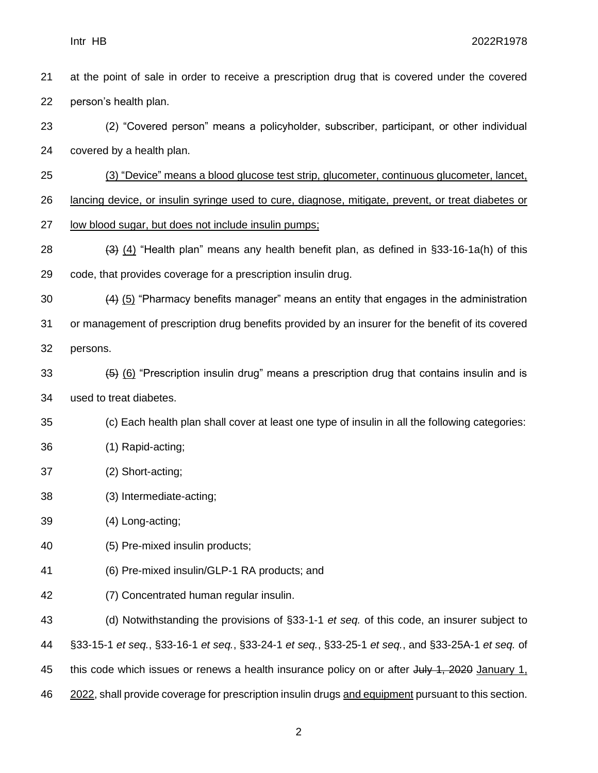- at the point of sale in order to receive a prescription drug that is covered under the covered person's health plan.
- (2) "Covered person" means a policyholder, subscriber, participant, or other individual covered by a health plan.
- (3) "Device" means a blood glucose test strip, glucometer, continuous glucometer, lancet,

26 lancing device, or insulin syringe used to cure, diagnose, mitigate, prevent, or treat diabetes or

- low blood sugar, but does not include insulin pumps;
- 28  $(3)$  (4) "Health plan" means any health benefit plan, as defined in §33-16-1a(h) of this code, that provides coverage for a prescription insulin drug.
- (4) (5) "Pharmacy benefits manager" means an entity that engages in the administration
- or management of prescription drug benefits provided by an insurer for the benefit of its covered
- persons.
- 33  $(5)$  (6) "Prescription insulin drug" means a prescription drug that contains insulin and is used to treat diabetes.
- (c) Each health plan shall cover at least one type of insulin in all the following categories:
- (1) Rapid-acting;
- (2) Short-acting;
- (3) Intermediate-acting;
- (4) Long-acting;
- (5) Pre-mixed insulin products;
- (6) Pre-mixed insulin/GLP-1 RA products; and
- (7) Concentrated human regular insulin.

 (d) Notwithstanding the provisions of §33-1-1 *et seq.* of this code, an insurer subject to §33-15-1 *et seq.*, §33-16-1 *et seq.*, §33-24-1 *et seq.*, §33-25-1 *et seq.*, and §33-25A-1 *et seq.* of 45 this code which issues or renews a health insurance policy on or after July 1, 2020 January 1, 2022, shall provide coverage for prescription insulin drugs and equipment pursuant to this section.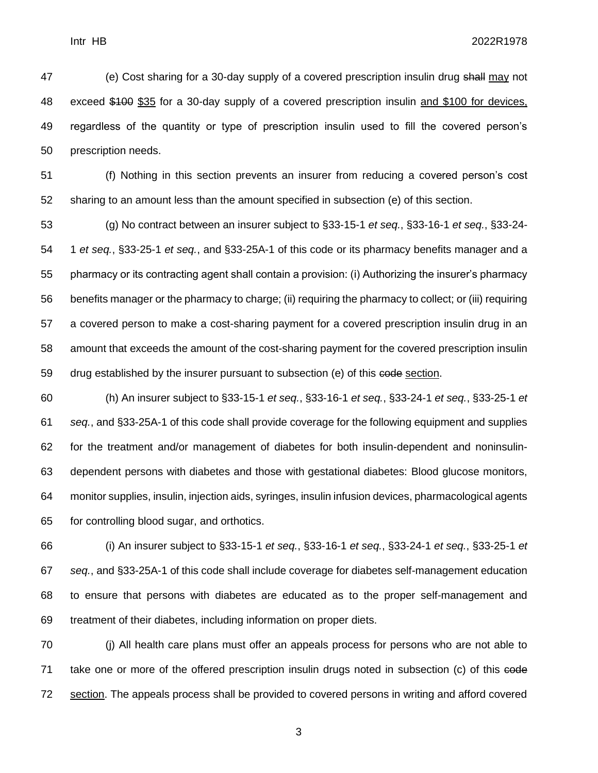47 (e) Cost sharing for a 30-day supply of a covered prescription insulin drug shall may not exceed \$100 \$35 for a 30-day supply of a covered prescription insulin and \$100 for devices, regardless of the quantity or type of prescription insulin used to fill the covered person's prescription needs.

 (f) Nothing in this section prevents an insurer from reducing a covered person's cost sharing to an amount less than the amount specified in subsection (e) of this section.

 (g) No contract between an insurer subject to §33-15-1 *et seq.*, §33-16-1 *et seq.*, §33-24- 1 *et seq.*, §33-25-1 *et seq.*, and §33-25A-1 of this code or its pharmacy benefits manager and a pharmacy or its contracting agent shall contain a provision: (i) Authorizing the insurer's pharmacy benefits manager or the pharmacy to charge; (ii) requiring the pharmacy to collect; or (iii) requiring a covered person to make a cost-sharing payment for a covered prescription insulin drug in an amount that exceeds the amount of the cost-sharing payment for the covered prescription insulin 59 drug established by the insurer pursuant to subsection (e) of this code section.

 (h) An insurer subject to §33-15-1 *et seq.*, §33-16-1 *et seq.*, §33-24-1 *et seq.*, §33-25-1 *et seq.*, and §33-25A-1 of this code shall provide coverage for the following equipment and supplies for the treatment and/or management of diabetes for both insulin-dependent and noninsulin- dependent persons with diabetes and those with gestational diabetes: Blood glucose monitors, monitor supplies, insulin, injection aids, syringes, insulin infusion devices, pharmacological agents for controlling blood sugar, and orthotics.

 (i) An insurer subject to §33-15-1 *et seq.*, §33-16-1 *et seq.*, §33-24-1 *et seq.*, §33-25-1 *et seq.*, and §33-25A-1 of this code shall include coverage for diabetes self-management education to ensure that persons with diabetes are educated as to the proper self-management and treatment of their diabetes, including information on proper diets.

 (j) All health care plans must offer an appeals process for persons who are not able to 71 take one or more of the offered prescription insulin drugs noted in subsection (c) of this eede section. The appeals process shall be provided to covered persons in writing and afford covered